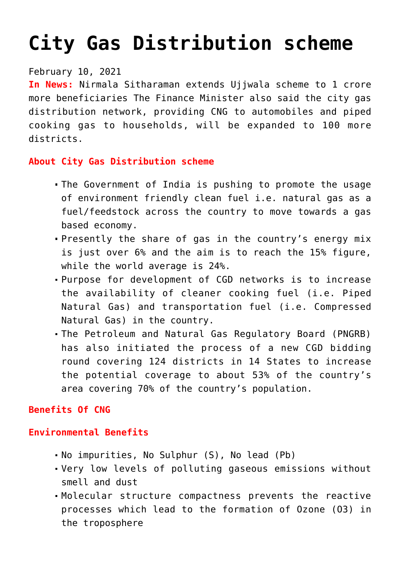# **[City Gas Distribution scheme](https://journalsofindia.com/city-gas-distribution-scheme/)**

# February 10, 2021

**In News:** Nirmala Sitharaman extends Ujjwala scheme to 1 crore more beneficiaries The Finance Minister also said the city gas distribution network, providing CNG to automobiles and piped cooking gas to households, will be expanded to 100 more districts.

# **About City Gas Distribution scheme**

- The Government of India is pushing to promote the usage of environment friendly clean fuel i.e. natural gas as a fuel/feedstock across the country to move towards a gas based economy.
- Presently the share of gas in the country's energy mix is just over 6% and the aim is to reach the 15% figure, while the world average is 24%.
- Purpose for development of CGD networks is to increase the availability of cleaner cooking fuel (i.e. Piped Natural Gas) and transportation fuel (i.e. Compressed Natural Gas) in the country.
- The Petroleum and Natural Gas Regulatory Board (PNGRB) has also initiated the process of a new CGD bidding round covering 124 districts in 14 States to increase the potential coverage to about 53% of the country's area covering 70% of the country's population.

# **Benefits Of CNG**

#### **Environmental Benefits**

- No impurities, No Sulphur (S), No lead (Pb)
- Very low levels of polluting gaseous emissions without smell and dust
- Molecular structure compactness prevents the reactive processes which lead to the formation of Ozone (O3) in the troposphere